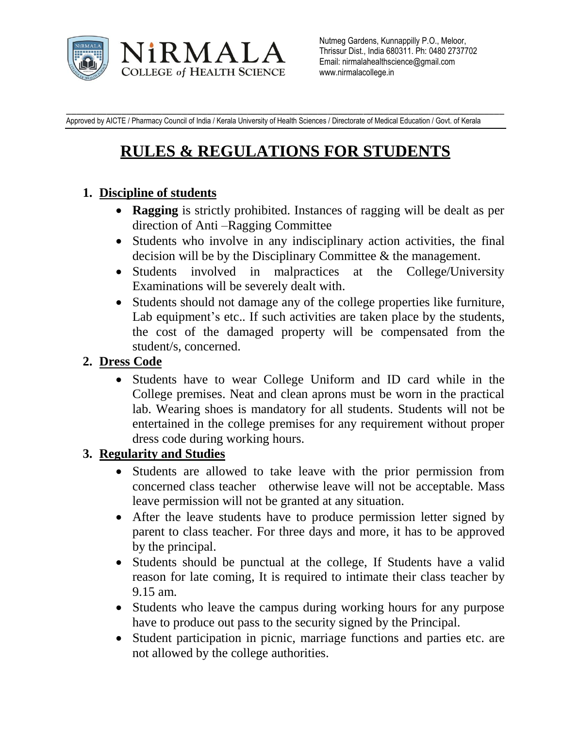

\_\_\_\_\_\_\_\_\_\_\_\_\_\_\_\_\_\_\_\_\_\_\_\_\_\_\_\_\_\_\_\_\_\_\_\_\_\_\_\_\_\_\_\_\_\_\_\_\_\_\_\_\_\_\_\_\_\_\_\_\_\_\_\_\_\_\_\_\_\_\_\_\_\_\_\_\_\_\_\_\_\_\_\_\_\_\_ Approved by AICTE / Pharmacy Council of India / Kerala University of Health Sciences / Directorate of Medical Education / Govt. of Kerala

# **RULES & REGULATIONS FOR STUDENTS**

#### **1. Discipline of students**

- **Ragging** is strictly prohibited. Instances of ragging will be dealt as per direction of Anti –Ragging Committee
- Students who involve in any indisciplinary action activities, the final decision will be by the Disciplinary Committee & the management.
- Students involved in malpractices at the College/University Examinations will be severely dealt with.
- Students should not damage any of the college properties like furniture, Lab equipment's etc.. If such activities are taken place by the students, the cost of the damaged property will be compensated from the student/s, concerned.

## **2. Dress Code**

 Students have to wear College Uniform and ID card while in the College premises. Neat and clean aprons must be worn in the practical lab. Wearing shoes is mandatory for all students. Students will not be entertained in the college premises for any requirement without proper dress code during working hours.

## **3. Regularity and Studies**

- Students are allowed to take leave with the prior permission from concerned class teacher otherwise leave will not be acceptable. Mass leave permission will not be granted at any situation.
- After the leave students have to produce permission letter signed by parent to class teacher. For three days and more, it has to be approved by the principal.
- Students should be punctual at the college, If Students have a valid reason for late coming, It is required to intimate their class teacher by 9.15 am.
- Students who leave the campus during working hours for any purpose have to produce out pass to the security signed by the Principal.
- Student participation in picnic, marriage functions and parties etc. are not allowed by the college authorities.